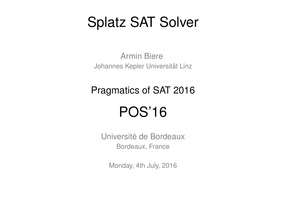# Splatz SAT Solver

Armin Biere Johannes Kepler Universität Linz

Pragmatics of SAT 2016

# POS'16

Université de Bordeaux Bordeaux, France

Monday, 4th July, 2016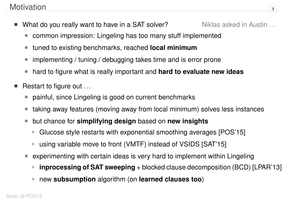## Motivation 1

- What do you really want to have in a SAT solver? Niklas asked in Austin ...
	- common impression: Lingeling has too many stuff implemented  $\mathbb{R}^n$
	- tuned to existing benchmarks, reached **local minimum**  $\Box$
	- implementing / tuning / debugging takes time and is error prone  $\mathbb{R}^n$
	- hard to figure what is really important and **hard to evaluate new ideas**  $\mathcal{L}_{\mathcal{A}}$
- Restart to figure out ...
	- painful, since Lingeling is good on current benchmarks M
	- taking away features (moving away from local minimum) solves less instances  $\mathcal{C}^{\mathcal{A}}$
	- but chance for **simplifying design** based on **new insights**  $\mathbb{R}^n$ 
		- Glucose style restarts with exponential smoothing averages [POS'15]  $\mathbb{R}^n$
		- using variable move to front (VMTF) instead of VSIDS [SAT'15]  $\overline{\mathbb{R}^n}$
	- experimenting with certain ideas is very hard to implement within Lingeling п
		- **inprocessing of SAT sweeping** + blocked clause decomposition (BCD) [LPAR'13]
		- new **subsumption** algorithm (on **learned clauses too**)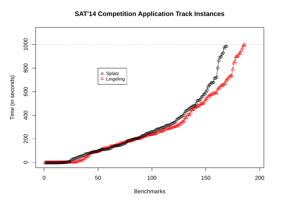### **SAT'14 Competition Application Track Instances**



**Benchmarks**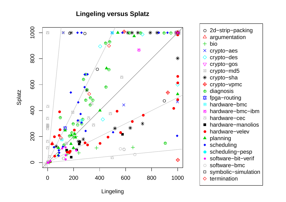#### **Lingeling versus Splatz**



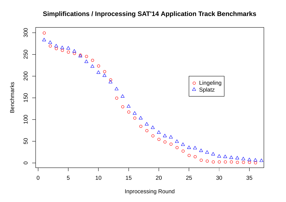

**Simplifications / Inprocessing SAT'14 Application Track Benchmarks**

Inprocessing Round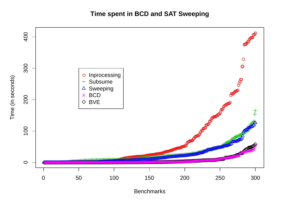Time spent in BCD and SAT Sweeping



**Benchmarks**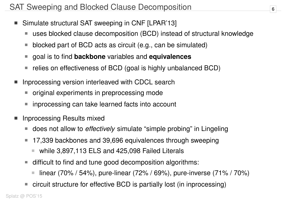- Simulate structural SAT sweeping in CNF [LPAR'13]  $\overline{\phantom{a}}$ 
	- uses blocked clause decomposition (BCD) instead of structural knowledge M
	- blocked part of BCD acts as circuit (e.g., can be simulated)  $\mathbb{R}^n$
	- goal is to find **backbone** variables and **equivalences**  $\mathcal{C}_{\mathcal{A}}$
	- relies on effectiveness of BCD (goal is highly unbalanced BCD)  $\mathcal{C}$
- Inprocessing version interleaved with CDCL search
	- original experiments in preprocessing mode  $\mathcal{L}_{\mathcal{A}}$
	- inprocessing can take learned facts into account  $\mathbb{R}^n$
- Inprocessing Results mixed
	- does not allow to *effectively* simulate "simple probing" in Lingeling  $\mathcal{L}_{\mathcal{A}}$
	- 17,339 backbones and 39,696 equivalences through sweeping  $\mathcal{L}_{\mathcal{A}}$ 
		- while 3,897,113 ELS and 425,098 Failed Literals  $\mathcal{L}_{\mathcal{A}}$
	- difficult to find and tune good decomposition algorithms:  $\mathbb{R}^n$ 
		- linear (70% / 54%), pure-linear (72% / 69%), pure-inverse (71% / 70%) F
	- circuit structure for effective BCD is partially lost (in inprocessing)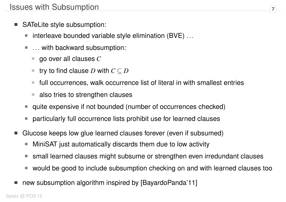- SATeLite style subsumption:
	- interleave bounded variable style elimination (BVE) ...  $\mathbb{R}^n$
	- ... with backward subsumption:
		- go over all clauses *C*  $\mathcal{L}_{\mathcal{A}}$
		- try to find clause *D* with  $C \subseteq D$  $\mathcal{L}_{\mathcal{A}}$
		- full occurrences, walk occurrence list of literal in with smallest entries T.
		- also tries to strengthen clauses  $\mathcal{L}_{\mathcal{A}}$
	- quite expensive if not bounded (number of occurrences checked)  $\mathcal{L}_{\mathcal{A}}$
	- particularly full occurrence lists prohibit use for learned clauses  $\mathbb{R}^n$
- Glucose keeps low glue learned clauses forever (even if subsumed)
	- MiniSAT just automatically discards them due to low activity  $\Box$
	- small learned clauses might subsume or strengthen even irredundant clauses  $\mathbb{R}^n$
	- would be good to include subsumption checking on and with learned clauses too ш
- new subsumption algorithm inspired by [BayardoPanda'11]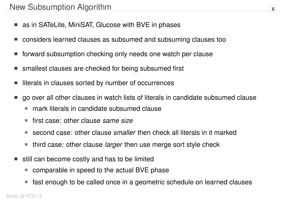- as in SATeLite, MiniSAT, Glucose with BVE in phases
- considers learned clauses as subsumed and subsuming clauses too
- forward subsumption checking only needs one watch per clause
- smallest clauses are checked for being subsumed first
- literals in clauses sorted by number of occurrences
- go over all other clauses in watch lists of literals in candidate subsumed clause
	- mark literals in candidate subsumed clause  $\mathcal{L}_{\mathcal{A}}$
	- first case: other clause *same size* п
	- second case: other clause *smaller* then check all literals in it marked  $\mathcal{L}_{\mathcal{A}}$
	- third case: other clause *larger* then use merge sort style check  $\Box$
- still can become costly and has to be limited
	- comparable in speed to the actual BVE phase  $\mathcal{C}_{\mathcal{A}}$
	- fast enough to be called once in a geometric schedule on learned clauses  $\mathcal{C}$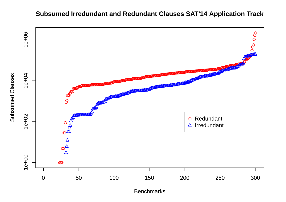### **Subsumed Irredundant and Redundant Clauses SAT'14 Application Track**



**Benchmarks**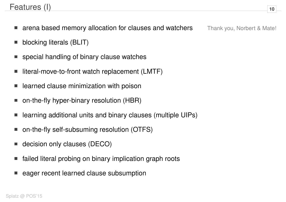## Features (I) **<sup>10</sup>**

- arena based memory allocation for clauses and watchers Thank you, Norbert & Mate!
- blocking literals (BLIT)
- special handling of binary clause watches
- literal-move-to-front watch replacement (LMTF)
- learned clause minimization with poison
- on-the-fly hyper-binary resolution (HBR)
- learning additional units and binary clauses (multiple UIPs)
- on-the-fly self-subsuming resolution (OTFS)
- decision only clauses (DECO)
- failed literal probing on binary implication graph roots
- eager recent learned clause subsumption